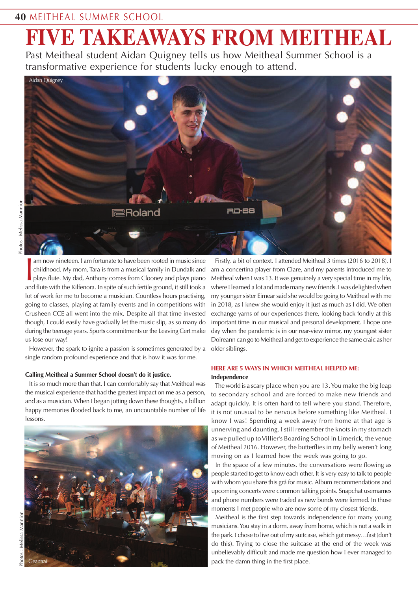# **FIVE TAKEAWAYS FROM MEITHEAL**

Past Meitheal student Aidan Quigney tells us how Meitheal Summer School is a transformative experience for students lucky enough to attend.



I am now nineteen. I am fortunate to have been rooted in music since<br>childhood. My mom, Tara is from a musical family in Dundalk and<br>plays flute. My dad, Anthony comes from Clooney and plays piano<br>and flute with the Kilfen am now nineteen. I am fortunate to have been rooted in music since childhood. My mom, Tara is from a musical family in Dundalk and plays flute. My dad, Anthony comes from Clooney and plays piano lot of work for me to become a musician. Countless hours practising, going to classes, playing at family events and in competitions with Crusheen CCE all went into the mix. Despite all that time invested though, I could easily have gradually let the music slip, as so many do during the teenage years. Sports commitments or the Leaving Cert make us lose our way!

However, the spark to ignite a passion is sometimes generated by a single random profound experience and that is how it was for me.

## **Calling Meitheal a Summer School doesn't do it justice.**

It is so much more than that. I can comfortably say that Meitheal was the musical experience that had the greatest impact on me as a person, and as a musician.When I began jotting down these thoughts, a billion happy memories flooded back to me, an uncountable number of life lessons.



Firstly, a bit of context. I attended Meitheal 3 times (2016 to 2018). I am a concertina player from Clare, and my parents introduced me to Meitheal when I was 13. It was genuinely a very special time in my life, where I learned a lot and made many new friends. I was delighted when my younger sister Eimear said she would be going to Meitheal with me in 2018, as I knew she would enjoy it just as much as I did. We often exchange yarns of our experiences there, looking back fondly at this important time in our musical and personal development. I hope one day when the pandemic is in our rear-view mirror, my youngest sister Doireann can go toMeitheal and get to experience the same craic as her older siblings.

## **HERE ARE 5 WAYS IN WHICH MEITHEAL HELPED ME: Independence**

Theworld is a scary place when you are 13.You make the big leap to secondary school and are forced to make new friends and adapt quickly. It is often hard to tell where you stand. Therefore, it is not unusual to be nervous before something like Meitheal. I know I was! Spending a week away from home at that age is unnerving and daunting. I still remember the knots in my stomach as we pulled up toVillier's Boarding School in Limerick, the venue of Meitheal 2016. However, the butterflies in my belly weren't long moving on as I learned how the week was going to go.

In the space of a few minutes, the conversations were flowing as people started to get to know each other. It is very easy to talk to people with whom you share this grá for music. Album recommendations and upcoming concerts were common talking points. Snapchat usernames and phone numbers were traded as new bonds were formed. In those moments I met people who are now some of my closest friends.

Meitheal is the first step towards independence for many young musicians.You stay in a dorm, away from home, which is not a walk in the park. I chose to live out of my suitcase, which got messy…fast (don't do this). Trying to close the suitcase at the end of the week was unbelievably difficult and made me question how I ever managed to pack the damn thing in the first place.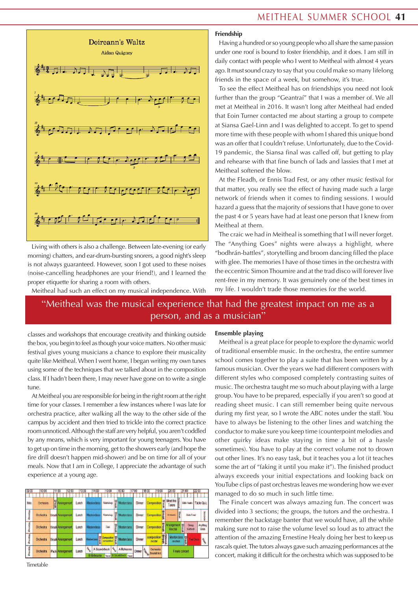



Living with others is also a challenge. Between late-evening (or early morning) chatters, and ear-drum-bursting snorers, a good night's sleep is not always guaranteed. However, soon I got used to these noises (noise-cancelling headphones are your friend!), and I learned the proper etiquette for sharing a room with others.

Meitheal had such an effect on my musical independence. With

## **Friendship**

Having a hundred or so young people who all share the same passion under one roof is bound to foster friendship, and it does. I am still in daily contact with people who I went to Meitheal with almost 4 years ago. It must sound crazy to say that you could make so many lifelong friends in the space of a week, but somehow, it's true.

To see the effect Meitheal has on friendships you need not look further than the group "Geantraí" that I was a member of. We all met at Meitheal in 2016. It wasn't long after Meitheal had ended that Eoin Turner contacted me about starting a group to compete at Siansa Gael-Linn and I was delighted to accept. To get to spend more time with these people with whom I shared this unique bond was an offer that I couldn't refuse. Unfortunately, due to the Covid-19 pandemic, the Siansa final was called off, but getting to play and rehearse with that fine bunch of lads and lassies that I met at Meitheal softened the blow.

At the Fleadh, or Ennis Trad Fest, or any other music festival for that matter, you really see the effect of having made such a large network of friends when it comes to finding sessions. I would hazard a guess that the majority of sessions that I have gone to over the past 4 or 5 years have had at least one person that I knew from Meitheal at them.

The craic we had in Meitheal is something that I will never forget. The "Anything Goes" nights were always a highlight, where "bodhrán-battles", storytelling and broom dancing filled the place with glee. The memories I have of those times in the orchestra with the eccentric SimonThoumire and at the trad disco will forever live rent-free in my memory. It was genuinely one of the best times in my life. I wouldn't trade those memories for the world.

# "Meitheal was the musical experience that had the greatest impact on me as a person, and as a musician"

classes and workshops that encourage creativity and thinking outside the box, you begin to feel as though your voice matters. No other music festival gives young musicians a chance to explore their musicality quite like Meitheal.When I went home, I began writing my own tunes using some of the techniques that we talked about in the composition class. If I hadn't been there, I may never have gone on to write a single tune.

At Meitheal you are responsible for being in the right room at the right time for your classes. I remember a few instances where I was late for orchestra practice, after walking all the way to the other side of the campus by accident and then tried to trickle into the correct practice room unnoticed.Although the staff are very helpful, you aren't coddled by any means, which is very important for young teenagers.You have to get up on time in the morning, get to the showers early (and hope the fire drill doesn't happen mid-shower) and be on time for all of your meals. Now that I am in College, I appreciate the advantage of such experience at a young age.

| 09:00 | 10:00     |   | 12:00<br>11:00           | 13:00 | 14:00                      | 15:00        |              | 16:00                                    | 17:00         | 18:00  | 19:00                  |              | 20:00                                                                  |             | 21:00            | 22:00             |          |
|-------|-----------|---|--------------------------|-------|----------------------------|--------------|--------------|------------------------------------------|---------------|--------|------------------------|--------------|------------------------------------------------------------------------|-------------|------------------|-------------------|----------|
| Intro | Orchestra | 쁮 | Arrangement              | Lunch | Masterclass                | Workshop     | <b>Break</b> | <b>Masterclass</b>                       | Dinner        |        | Composition            | Break        | Meet the<br><b>utors</b>                                               |             | Solo Heats       | <b>Table Quiz</b> |          |
| S     | Orchestra |   | <b>BreaklArrangement</b> | Lunch | <b>Masterclass</b>         | Workshop     | Break        | <b>Masterclass</b>                       | Dinner        |        | Composition            | <b>Teak</b>  | Orchestra                                                              | <b>Hrea</b> | Solo Final       |                   |          |
| g     | Orchestra |   | <b>Break Arrangement</b> | Lonch | <b>Masterdass</b>          | Cell         | 맞은           | <b>Masterclass</b>                       | <b>Dinner</b> |        | Composition            | <b>Break</b> | Arrangement @<br>g<br>V<br>Recital                                     |             | Group<br>Contest | Anything<br>Goes  |          |
| Ś     | Orchestra |   | <b>Break Arrangement</b> | Lunch | Masterciase of Composition |              | gig          | <b>Masterclass</b>                       | Dinner        |        | composition<br>recital | <b>Break</b> | Masterclass $\begin{bmatrix} \omega \\ \vdots \\ \omega \end{bmatrix}$ |             |                  | <b>Trad Disco</b> | <b>B</b> |
| ś     | Orchestra |   | Pack Arrangement         | Lunch | Trans<br><b>B</b> Rehearse | A Soundcheck | Trees.       | A Rehearse<br>Travel B Soundcheck Travel | Dinner        | Travel | Orchestra<br>Soundchek |              |                                                                        |             | Finale concert   |                   |          |

#### **Ensemble playing**

Meitheal is a great place for people to explore the dynamic world of traditional ensemble music. In the orchestra, the entire summer school comes together to play a suite that has been written by a famous musician. Over the years we had different composers with different styles who composed completely contrasting suites of music.The orchestra taught me so much about playing with a large group. You have to be prepared, especially if you aren't so good at reading sheet music. I can still remember being quite nervous during my first year, so I wrote the ABC notes under the staff. You have to always be listening to the other lines and watching the conductor to make sure you keep time (counterpoint melodies and other quirky ideas make staying in time a bit of a hassle sometimes). You have to play at the correct volume not to drown out other lines. It's no easy task, but it teaches you a lot (it teaches some the art of "faking it until you make it"). The finished product always exceeds your initial expectations and looking back on YouTube clips of past orchestras leaves me wondering how we ever managed to do so much in such little time.

The Finale concert was always amazing fun. The concert was divided into 3 sections; the groups, the tutors and the orchestra. I remember the backstage banter that we would have, all the while making sure not to raise the volume level so loud as to attract the attention of the amazing Ernestine Healy doing her best to keep us rascals quiet.The tutors always gave such amazing performances at the concert, making it difficult for the orchestra which was supposed to be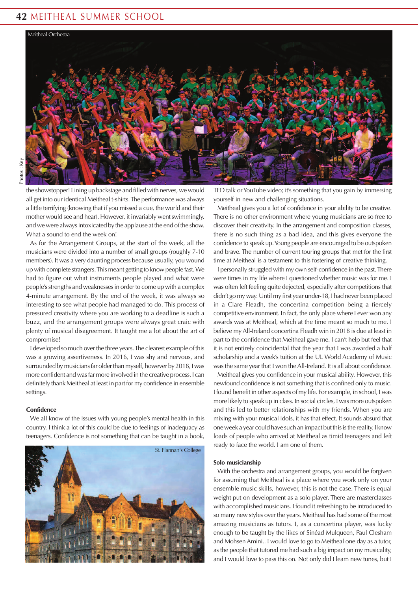## **42** MEITHEAL SUMMER SCHOOL



the showstopper! Lining up backstage and filled with nerves, we would all get into our identical Meitheal t-shirts.The performance was always a little terrifying (knowing that if you missed a cue, the world and their mother would see and hear). However, it invariably went swimmingly, and we were always intoxicated by the applause at the end of the show. What a sound to end the week on!

As for the Arrangement Groups, at the start of the week, all the musicians were divided into a number of small groups (roughly 7-10 members). It was a very daunting process because usually, you wound up with complete strangers. This meant getting to know people fast. We had to figure out what instruments people played and what were people's strengths and weaknesses in order to come up with a complex 4-minute arrangement. By the end of the week, it was always so interesting to see what people had managed to do. This process of pressured creativity where you are working to a deadline is such a buzz, and the arrangement groups were always great craic with plenty of musical disagreement. It taught me a lot about the art of compromise!

I developed so much overthe three years.The clearest example of this was a growing assertiveness. In 2016, I was shy and nervous, and surrounded by musicians far older than myself, however by 2018, I was more confident andwasfar more involved in the creative process. I can definitely thank Meitheal at least in part for my confidence in ensemble settings.

#### **Confidence**

We all know of the issues with young people's mental health in this country. I think a lot of this could be due to feelings of inadequacy as teenagers. Confidence is not something that can be taught in a book,



TED talk or YouTube video; it's something that you gain by immersing yourself in new and challenging situations.

Meitheal gives you a lot of confidence in your ability to be creative. There is no other environment where young musicians are so free to discover their creativity. In the arrangement and composition classes, there is no such thing as a bad idea, and this gives everyone the confidence to speak up.Young people are encouraged to be outspoken and brave. The number of current touring groups that met for the first time at Meitheal is a testament to this fostering of creative thinking.

I personally struggled with my own self-confidence in the past.There were times in my life where I questioned whether music was for me. I was often left feeling quite dejected, especially after competitions that didn't go my way. Until my first year under-18, I had never been placed in a Clare Fleadh, the concertina competition being a fiercely competitive environment. In fact, the only place where I ever won any awards was at Meitheal, which at the time meant so much to me. I believe myAll-Ireland concertina Fleadh win in 2018 is due at least in part to the confidence that Meitheal gave me. I can't help but feel that it is not entirely coincidental that the year that I was awarded a half scholarship and a week's tuition at the UL World Academy of Music was the same year that I won theAll-Ireland. It is all about confidence.

Meitheal gives you confidence in your musical ability. However, this newfound confidence is not something that is confined only to music. I found benefit in other aspects of my life. For example, in school, I was more likely to speak up in class. In social circles, I was more outspoken and this led to better relationships with my friends. When you are mixing with your musical idols, it has that effect. It sounds absurd that one week a year could have such an impact but this is the reality. I know loads of people who arrived at Meitheal as timid teenagers and left ready to face the world. I am one of them.

#### **Solo musicianship**

With the orchestra and arrangement groups, you would be forgiven for assuming that Meitheal is a place where you work only on your ensemble music skills, however, this is not the case. There is equal weight put on development as a solo player. There are masterclasses with accomplished musicians. I found it refreshing to be introduced to so many new styles over the years. Meitheal has had some of the most amazing musicians as tutors. I, as a concertina player, was lucky enough to be taught by the likes of Sinéad Mulqueen, Paul Clesham and Mohsen Amini.. I would love to go to Meitheal one day as a tutor, as the people that tutored me had such a big impact on my musicality, and I would love to pass this on. Not only did I learn new tunes, but I